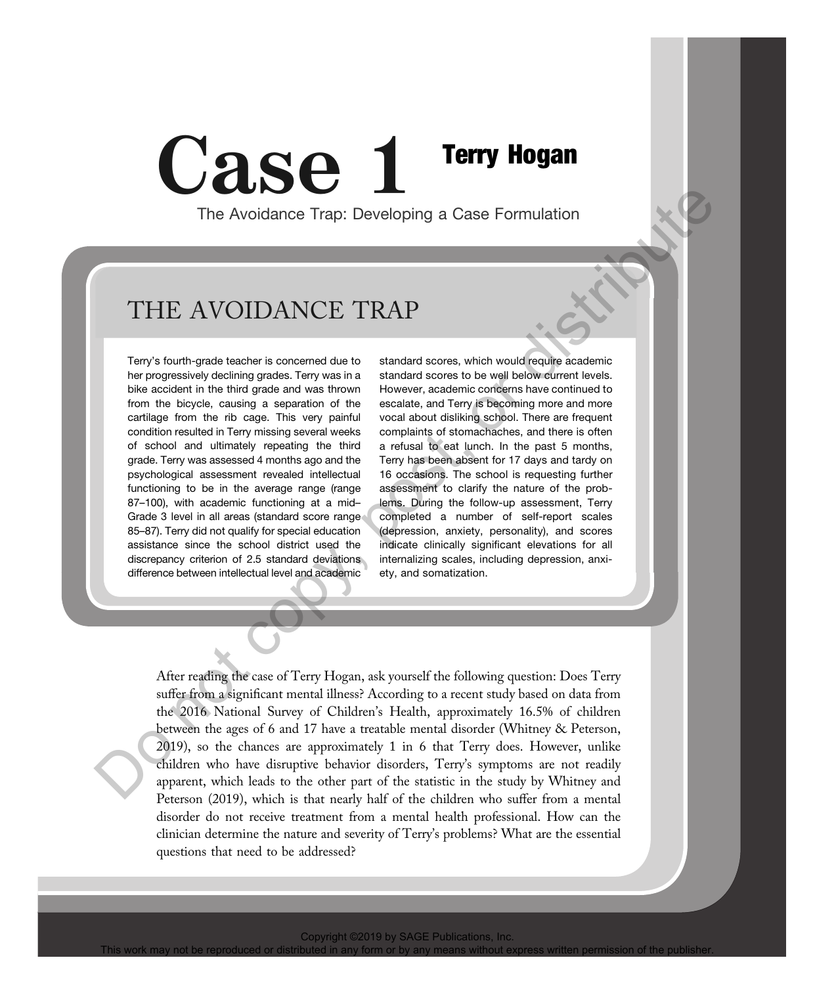# Case 1 Terry Hogan

The Avoidance Trap: Developing a Case Formulation

## THE AVOIDANCE TRAP

Terry's fourth-grade teacher is concerned due to her progressively declining grades. Terry was in a bike accident in the third grade and was thrown from the bicycle, causing a separation of the cartilage from the rib cage. This very painful condition resulted in Terry missing several weeks of school and ultimately repeating the third grade. Terry was assessed 4 months ago and the psychological assessment revealed intellectual functioning to be in the average range (range 87–100), with academic functioning at a mid– Grade 3 level in all areas (standard score range 85–87). Terry did not qualify for special education assistance since the school district used the discrepancy criterion of 2.5 standard deviations difference between intellectual level and academic

standard scores, which would require academic standard scores to be well below current levels. However, academic concerns have continued to escalate, and Terry is becoming more and more vocal about disliking school. There are frequent complaints of stomachaches, and there is often a refusal to eat lunch. In the past 5 months, Terry has been absent for 17 days and tardy on 16 occasions. The school is requesting further assessment to clarify the nature of the problems. During the follow-up assessment, Terry completed a number of self-report scales (depression, anxiety, personality), and scores indicate clinically significant elevations for all internalizing scales, including depression, anxiety, and somatization.

After reading the case of Terry Hogan, ask yourself the following question: Does Terry suffer from a significant mental illness? According to a recent study based on data from the 2016 National Survey of Children's Health, approximately 16.5% of children between the ages of 6 and 17 have a treatable mental disorder (Whitney & Peterson, 2019), so the chances are approximately 1 in 6 that Terry does. However, unlike children who have disruptive behavior disorders, Terry's symptoms are not readily apparent, which leads to the other part of the statistic in the study by Whitney and Peterson (2019), which is that nearly half of the children who suffer from a mental disorder do not receive treatment from a mental health professional. How can the clinician determine the nature and severity of Terry's problems? What are the essential questions that need to be addressed? The Avoidance Trap: Developing a Case Formulation<br>
THE AVOIDANCE TRAP<br>
Terry touch pass warst to coronat due to sensure some, when we<br>usefusion in a simple state in a simple state with the publisher and the publisher and<br>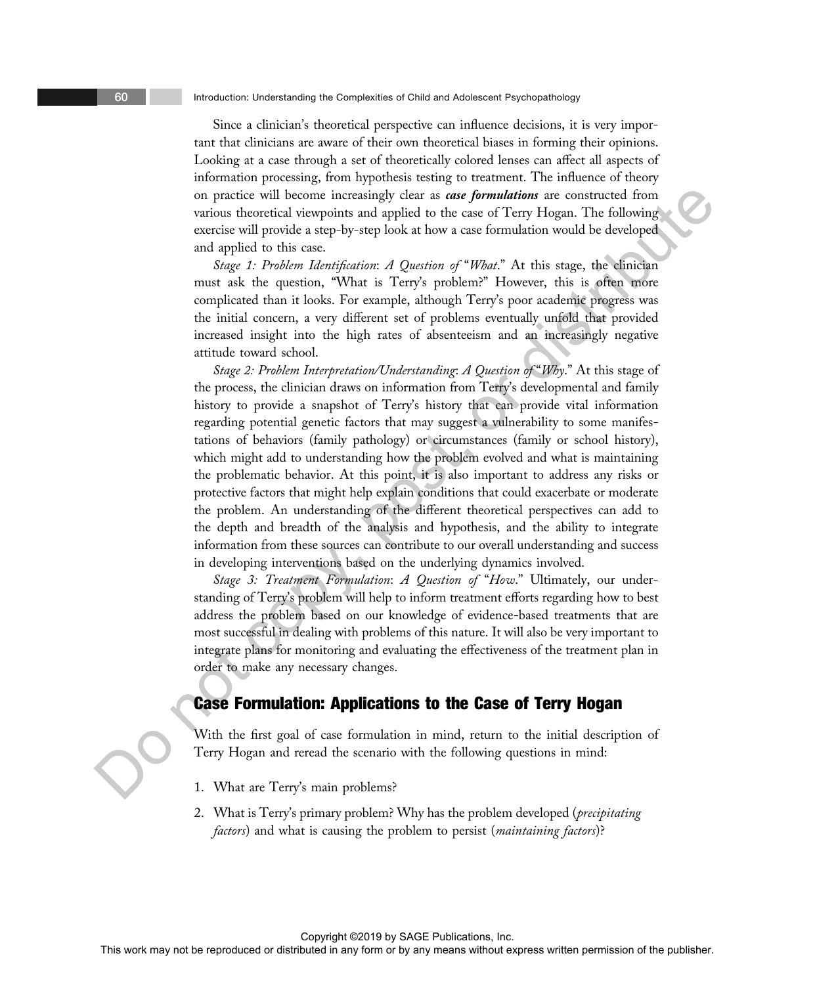60 Introduction: Understanding the Complexities of Child and Adolescent Psychopathology

Since a clinician's theoretical perspective can influence decisions, it is very important that clinicians are aware of their own theoretical biases in forming their opinions. Looking at a case through a set of theoretically colored lenses can affect all aspects of information processing, from hypothesis testing to treatment. The influence of theory on practice will become increasingly clear as case formulations are constructed from various theoretical viewpoints and applied to the case of Terry Hogan. The following exercise will provide a step-by-step look at how a case formulation would be developed and applied to this case.

Stage 1: Problem Identification: A Question of "What." At this stage, the clinician must ask the question, "What is Terry's problem?" However, this is often more complicated than it looks. For example, although Terry's poor academic progress was the initial concern, a very different set of problems eventually unfold that provided increased insight into the high rates of absenteeism and an increasingly negative attitude toward school.

Stage 2: Problem Interpretation/Understanding: A Question of "Why." At this stage of the process, the clinician draws on information from Terry's developmental and family history to provide a snapshot of Terry's history that can provide vital information regarding potential genetic factors that may suggest a vulnerability to some manifestations of behaviors (family pathology) or circumstances (family or school history), which might add to understanding how the problem evolved and what is maintaining the problematic behavior. At this point, it is also important to address any risks or protective factors that might help explain conditions that could exacerbate or moderate the problem. An understanding of the different theoretical perspectives can add to the depth and breadth of the analysis and hypothesis, and the ability to integrate information from these sources can contribute to our overall understanding and success in developing interventions based on the underlying dynamics involved. or pressing the best may not be realized or distributed are controlled in any form of the realized or distributed in any the realized or distributed in any the set of the publisher. A please in any the set of the publishe

Stage 3: Treatment Formulation: A Question of "How." Ultimately, our understanding of Terry's problem will help to inform treatment efforts regarding how to best address the problem based on our knowledge of evidence-based treatments that are most successful in dealing with problems of this nature. It will also be very important to integrate plans for monitoring and evaluating the effectiveness of the treatment plan in order to make any necessary changes.

#### Case Formulation: Applications to the Case of Terry Hogan

With the first goal of case formulation in mind, return to the initial description of Terry Hogan and reread the scenario with the following questions in mind:

- 1. What are Terry's main problems?
- 2. What is Terry's primary problem? Why has the problem developed (precipitating factors) and what is causing the problem to persist (maintaining factors)?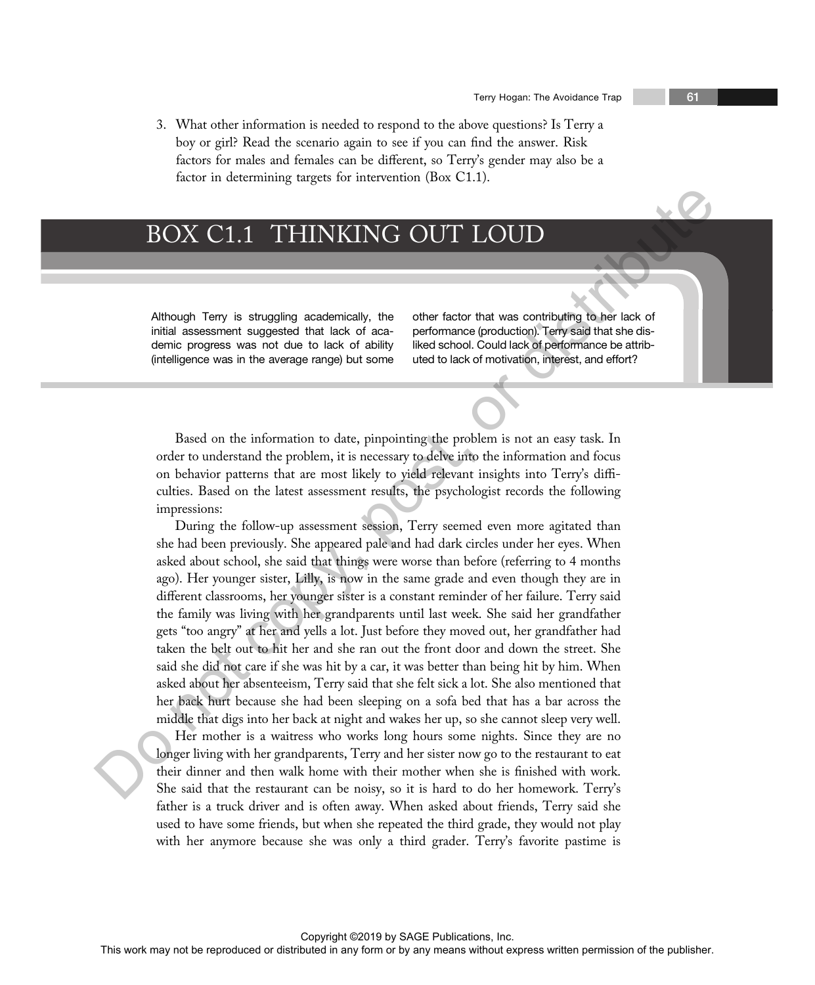3. What other information is needed to respond to the above questions? Is Terry a boy or girl? Read the scenario again to see if you can find the answer. Risk factors for males and females can be different, so Terry's gender may also be a factor in determining targets for intervention (Box C1.1).

## BOX C1.1 THINKING OUT LOUD

Although Terry is struggling academically, the initial assessment suggested that lack of academic progress was not due to lack of ability (intelligence was in the average range) but some

other factor that was contributing to her lack of performance (production). Terry said that she disliked school. Could lack of performance be attributed to lack of motivation, interest, and effort?

Based on the information to date, pinpointing the problem is not an easy task. In order to understand the problem, it is necessary to delve into the information and focus on behavior patterns that are most likely to yield relevant insights into Terry's difficulties. Based on the latest assessment results, the psychologist records the following impressions:

During the follow-up assessment session, Terry seemed even more agitated than she had been previously. She appeared pale and had dark circles under her eyes. When asked about school, she said that things were worse than before (referring to 4 months ago). Her younger sister, Lilly, is now in the same grade and even though they are in different classrooms, her younger sister is a constant reminder of her failure. Terry said the family was living with her grandparents until last week. She said her grandfather gets "too angry" at her and yells a lot. Just before they moved out, her grandfather had taken the belt out to hit her and she ran out the front door and down the street. She said she did not care if she was hit by a car, it was better than being hit by him. When asked about her absenteeism, Terry said that she felt sick a lot. She also mentioned that her back hurt because she had been sleeping on a sofa bed that has a bar across the middle that digs into her back at night and wakes her up, so she cannot sleep very well. The state of the results of the reproduced or distributed or distributed in any form or between  $\alpha$  any means we reproduced a state of the publisher and the publisher and the publisher in any means we reproduced a state

Her mother is a waitress who works long hours some nights. Since they are no longer living with her grandparents, Terry and her sister now go to the restaurant to eat their dinner and then walk home with their mother when she is finished with work. She said that the restaurant can be noisy, so it is hard to do her homework. Terry's father is a truck driver and is often away. When asked about friends, Terry said she used to have some friends, but when she repeated the third grade, they would not play with her anymore because she was only a third grader. Terry's favorite pastime is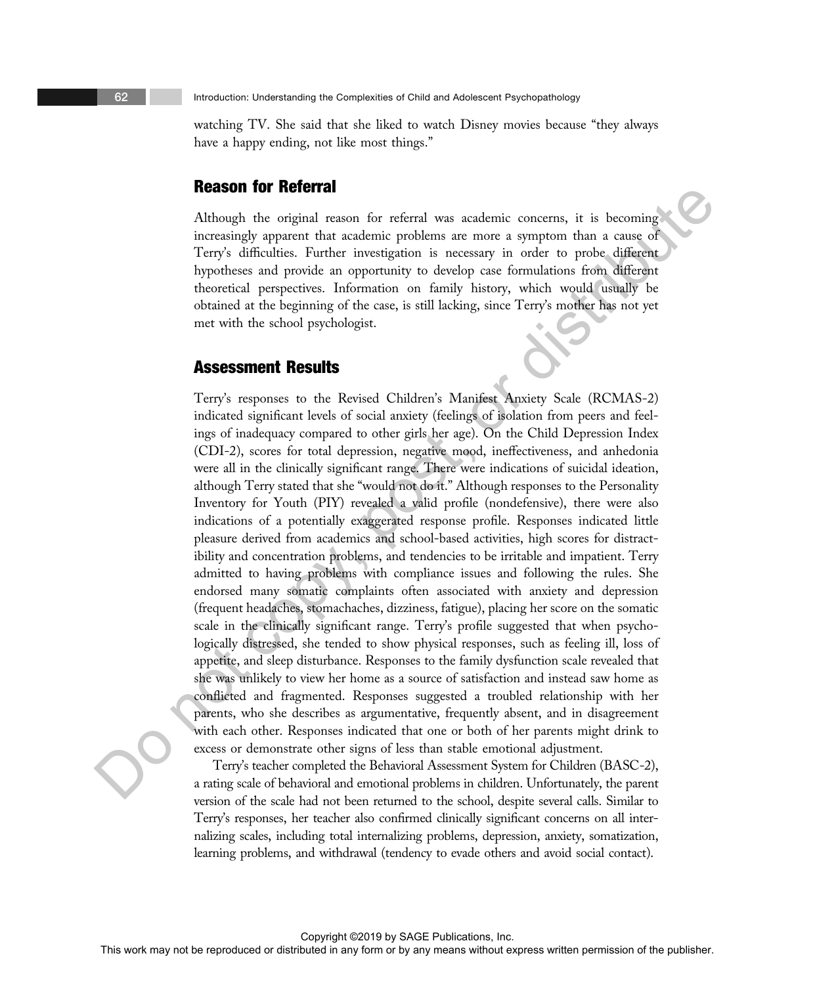watching TV. She said that she liked to watch Disney movies because "they always have a happy ending, not like most things."

# Reason for Referral

Although the original reason for referral was academic concerns, it is becoming increasingly apparent that academic problems are more a symptom than a cause of Terry's difficulties. Further investigation is necessary in order to probe different hypotheses and provide an opportunity to develop case formulations from different theoretical perspectives. Information on family history, which would usually be obtained at the beginning of the case, is still lacking, since Terry's mother has not yet met with the school psychologist.

# Assessment Results

Terry's responses to the Revised Children's Manifest Anxiety Scale (RCMAS-2) indicated significant levels of social anxiety (feelings of isolation from peers and feelings of inadequacy compared to other girls her age). On the Child Depression Index (CDI-2), scores for total depression, negative mood, ineffectiveness, and anhedonia were all in the clinically significant range. There were indications of suicidal ideation, although Terry stated that she "would not do it." Although responses to the Personality Inventory for Youth (PIY) revealed a valid profile (nondefensive), there were also indications of a potentially exaggerated response profile. Responses indicated little pleasure derived from academics and school-based activities, high scores for distractibility and concentration problems, and tendencies to be irritable and impatient. Terry admitted to having problems with compliance issues and following the rules. She endorsed many somatic complaints often associated with anxiety and depression (frequent headaches, stomachaches, dizziness, fatigue), placing her score on the somatic scale in the clinically significant range. Terry's profile suggested that when psychologically distressed, she tended to show physical responses, such as feeling ill, loss of appetite, and sleep disturbance. Responses to the family dysfunction scale revealed that she was unlikely to view her home as a source of satisfaction and instead saw home as conflicted and fragmented. Responses suggested a troubled relationship with her parents, who she describes as argumentative, frequently absent, and in disagreement with each other. Responses indicated that one or both of her parents might drink to excess or demonstrate other signs of less than stable emotional adjustment. **The computer or the reproduced or distributed in a control or the reproduced in a control or the reproduced or distributed in a control or the state of the publishes and provide in a control or the location of the publis** 

Terry's teacher completed the Behavioral Assessment System for Children (BASC-2), a rating scale of behavioral and emotional problems in children. Unfortunately, the parent version of the scale had not been returned to the school, despite several calls. Similar to Terry's responses, her teacher also confirmed clinically significant concerns on all internalizing scales, including total internalizing problems, depression, anxiety, somatization, learning problems, and withdrawal (tendency to evade others and avoid social contact).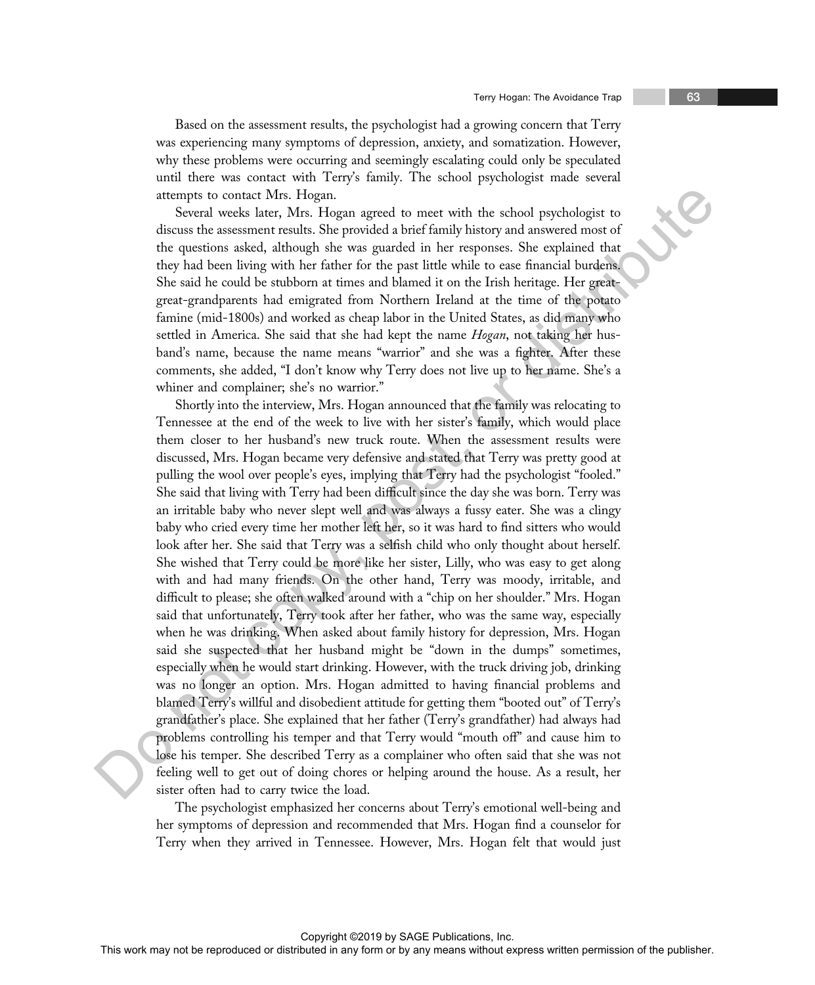Based on the assessment results, the psychologist had a growing concern that Terry was experiencing many symptoms of depression, anxiety, and somatization. However, why these problems were occurring and seemingly escalating could only be speculated until there was contact with Terry's family. The school psychologist made several attempts to contact Mrs. Hogan.

Several weeks later, Mrs. Hogan agreed to meet with the school psychologist to discuss the assessment results. She provided a brief family history and answered most of the questions asked, although she was guarded in her responses. She explained that they had been living with her father for the past little while to ease financial burdens. She said he could be stubborn at times and blamed it on the Irish heritage. Her greatgreat-grandparents had emigrated from Northern Ireland at the time of the potato famine (mid-1800s) and worked as cheap labor in the United States, as did many who settled in America. She said that she had kept the name Hogan, not taking her husband's name, because the name means "warrior" and she was a fighter. After these comments, she added, "I don't know why Terry does not live up to her name. She's a whiner and complainer; she's no warrior."

Shortly into the interview, Mrs. Hogan announced that the family was relocating to Tennessee at the end of the week to live with her sister's family, which would place them closer to her husband's new truck route. When the assessment results were discussed, Mrs. Hogan became very defensive and stated that Terry was pretty good at pulling the wool over people's eyes, implying that Terry had the psychologist "fooled." She said that living with Terry had been difficult since the day she was born. Terry was an irritable baby who never slept well and was always a fussy eater. She was a clingy baby who cried every time her mother left her, so it was hard to find sitters who would look after her. She said that Terry was a selfish child who only thought about herself. She wished that Terry could be more like her sister, Lilly, who was easy to get along with and had many friends. On the other hand, Terry was moody, irritable, and difficult to please; she often walked around with a "chip on her shoulder." Mrs. Hogan said that unfortunately, Terry took after her father, who was the same way, especially when he was drinking. When asked about family history for depression, Mrs. Hogan said she suspected that her husband might be "down in the dumps" sometimes, especially when he would start drinking. However, with the truck driving job, drinking was no longer an option. Mrs. Hogan admitted to having financial problems and blamed Terry's willful and disobedient attitude for getting them "booted out" of Terry's grandfather's place. She explained that her father (Terry's grandfather) had always had problems controlling his temper and that Terry would "mouth off" and cause him to lose his temper. She described Terry as a complainer who often said that she was not feeling well to get out of doing chores or helping around the house. As a result, her sister often had to carry twice the load. are<br>represent to commut reaches the reproduced arbits faint) into the reaches may not be<br>seen that a subsect model in a produced in the response. Since publisher<br>and the second model of the publisher or distributed in the

The psychologist emphasized her concerns about Terry's emotional well-being and her symptoms of depression and recommended that Mrs. Hogan find a counselor for Terry when they arrived in Tennessee. However, Mrs. Hogan felt that would just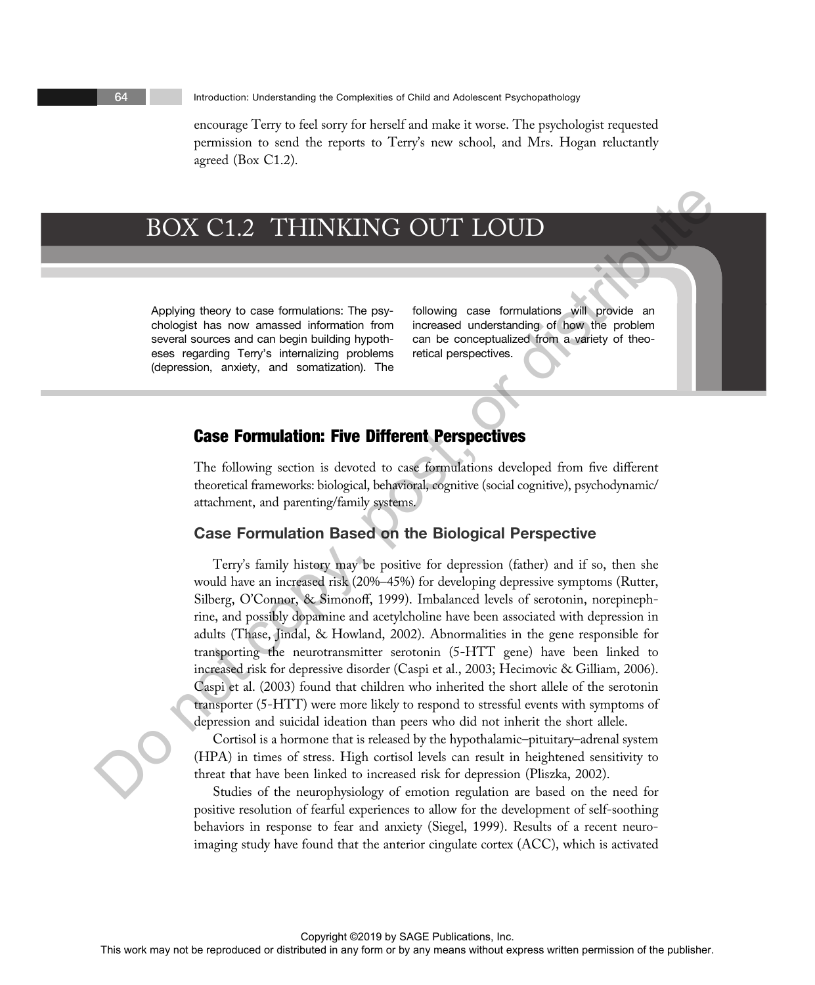Introduction: Understanding the Complexities of Child and Adolescent Psychopathology

encourage Terry to feel sorry for herself and make it worse. The psychologist requested permission to send the reports to Terry's new school, and Mrs. Hogan reluctantly agreed (Box C1.2).

## BOX C1.2 THINKING OUT LOUD

Applying theory to case formulations: The psychologist has now amassed information from several sources and can begin building hypotheses regarding Terry's internalizing problems (depression, anxiety, and somatization). The

following case formulations will provide an increased understanding of how the problem can be conceptualized from a variety of theoretical perspectives.

# Case Formulation: Five Different Perspectives

The following section is devoted to case formulations developed from five different theoretical frameworks: biological, behavioral, cognitive (social cognitive), psychodynamic/ attachment, and parenting/family systems.

#### Case Formulation Based on the Biological Perspective

Terry's family history may be positive for depression (father) and if so, then she would have an increased risk (20%–45%) for developing depressive symptoms (Rutter, Silberg, O'Connor, & Simonoff, 1999). Imbalanced levels of serotonin, norepinephrine, and possibly dopamine and acetylcholine have been associated with depression in adults (Thase, Jindal, & Howland, 2002). Abnormalities in the gene responsible for transporting the neurotransmitter serotonin (5-HTT gene) have been linked to increased risk for depressive disorder (Caspi et al., 2003; Hecimovic & Gilliam, 2006). Caspi et al. (2003) found that children who inherited the short allele of the serotonin transporter (5-HTT) were more likely to respond to stressful events with symptoms of depression and suicidal ideation than peers who did not inherit the short allele. The results of the computation of the repression of the results of the results of the results of the results of the results of the computation of the computation of the computation of the computation of the computation or

Cortisol is a hormone that is released by the hypothalamic–pituitary–adrenal system (HPA) in times of stress. High cortisol levels can result in heightened sensitivity to threat that have been linked to increased risk for depression (Pliszka, 2002).

Studies of the neurophysiology of emotion regulation are based on the need for positive resolution of fearful experiences to allow for the development of self-soothing behaviors in response to fear and anxiety (Siegel, 1999). Results of a recent neuroimaging study have found that the anterior cingulate cortex (ACC), which is activated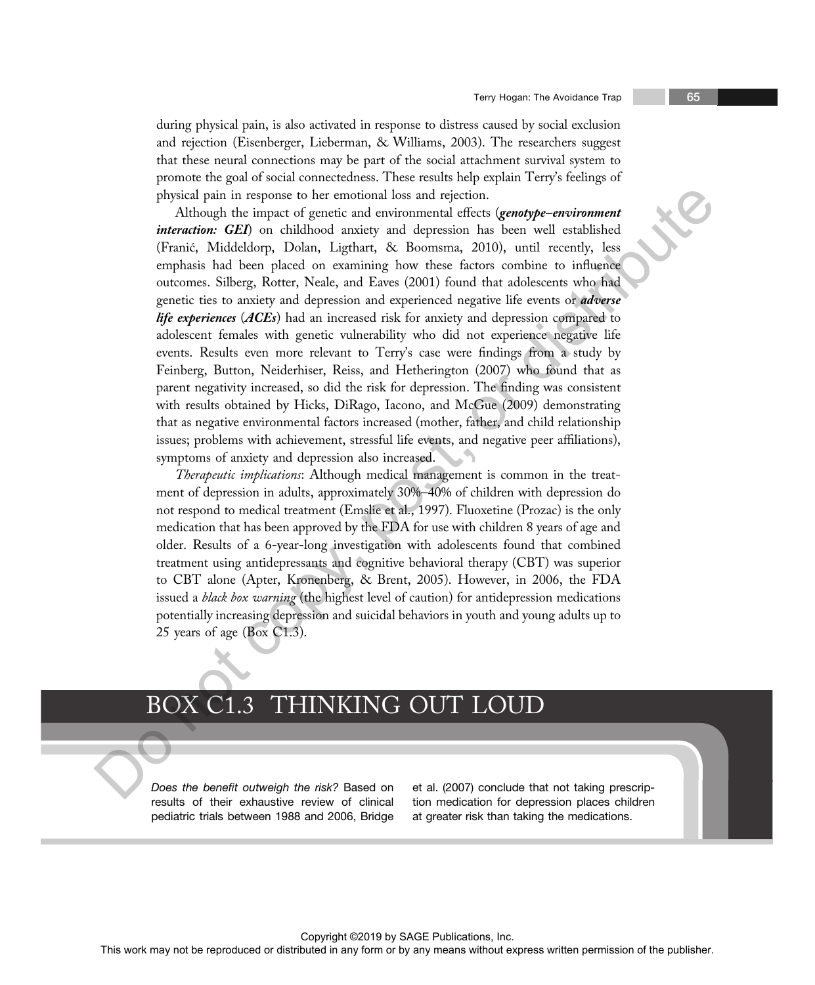during physical pain, is also activated in response to distress caused by social exclusion and rejection (Eisenberger, Lieberman, & Williams, 2003). The researchers suggest that these neural connections may be part of the social attachment survival system to promote the goal of social connectedness. These results help explain Terry's feelings of physical pain in response to her emotional loss and rejection.

Although the impact of genetic and environmental effects (*genotype–environment* interaction: GEI) on childhood anxiety and depression has been well established (Franić, Middeldorp, Dolan, Ligthart, & Boomsma, 2010), until recently, less emphasis had been placed on examining how these factors combine to influence outcomes. Silberg, Rotter, Neale, and Eaves (2001) found that adolescents who had genetic ties to anxiety and depression and experienced negative life events or adverse life experiences (ACEs) had an increased risk for anxiety and depression compared to adolescent females with genetic vulnerability who did not experience negative life events. Results even more relevant to Terry's case were findings from a study by Feinberg, Button, Neiderhiser, Reiss, and Hetherington (2007) who found that as parent negativity increased, so did the risk for depression. The finding was consistent with results obtained by Hicks, DiRago, Iacono, and McGue (2009) demonstrating that as negative environmental factors increased (mother, father, and child relationship issues; problems with achievement, stressful life events, and negative peer affiliations), symptoms of anxiety and depression also increased. The spectral in response the removines the rest reproduced or distributed in any form or distributed or distributed in any means when the set with control the set of the publisher. The publisher of the publisher control i

Therapeutic implications: Although medical management is common in the treatment of depression in adults, approximately 30%–40% of children with depression do not respond to medical treatment (Emslie et al., 1997). Fluoxetine (Prozac) is the only medication that has been approved by the FDA for use with children 8 years of age and older. Results of a 6-year-long investigation with adolescents found that combined treatment using antidepressants and cognitive behavioral therapy (CBT) was superior to CBT alone (Apter, Kronenberg, & Brent, 2005). However, in 2006, the FDA issued a *black box warning* (the highest level of caution) for antidepression medications potentially increasing depression and suicidal behaviors in youth and young adults up to 25 years of age (Box C1.3).

## .3 THINKING OUT LOUD

Does the benefit outweigh the risk? Based on results of their exhaustive review of clinical pediatric trials between 1988 and 2006, Bridge et al. (2007) conclude that not taking prescription medication for depression places children at greater risk than taking the medications.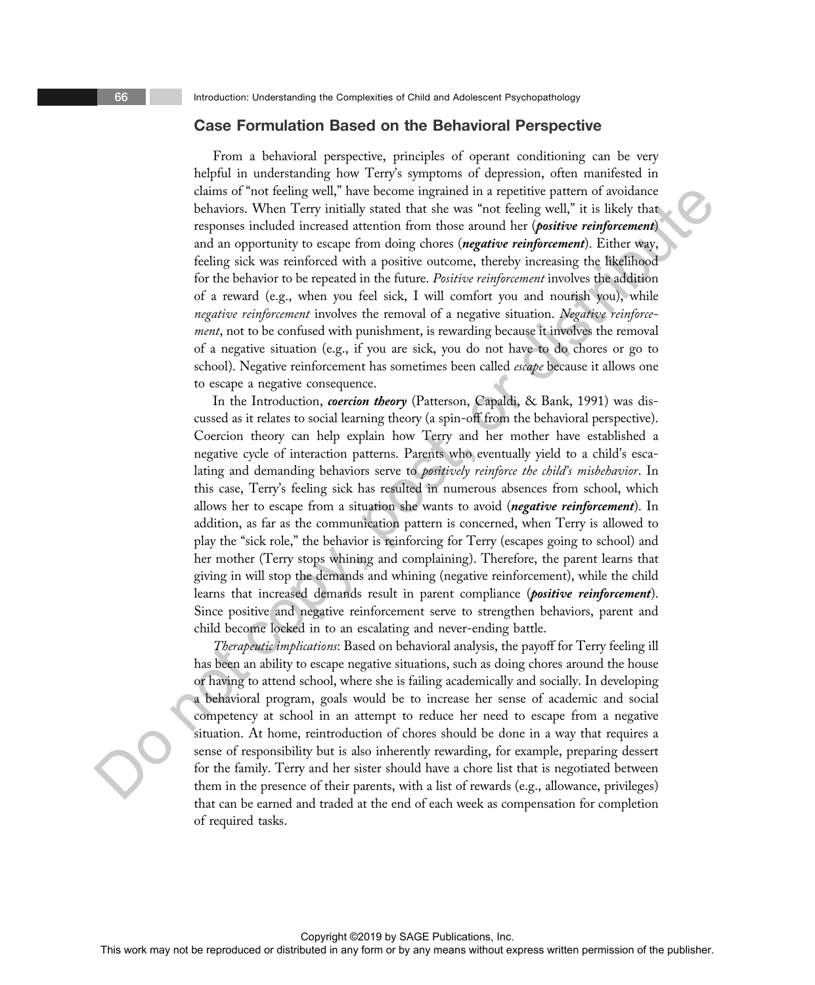#### Case Formulation Based on the Behavioral Perspective

From a behavioral perspective, principles of operant conditioning can be very helpful in understanding how Terry's symptoms of depression, often manifested in claims of "not feeling well," have become ingrained in a repetitive pattern of avoidance behaviors. When Terry initially stated that she was "not feeling well," it is likely that responses included increased attention from those around her (*positive reinforcement*) and an opportunity to escape from doing chores (negative reinforcement). Either way, feeling sick was reinforced with a positive outcome, thereby increasing the likelihood for the behavior to be repeated in the future. *Positive reinforcement* involves the addition of a reward (e.g., when you feel sick, I will comfort you and nourish you), while negative reinforcement involves the removal of a negative situation. Negative reinforce*ment*, not to be confused with punishment, is rewarding because it involves the removal of a negative situation (e.g., if you are sick, you do not have to do chores or go to school). Negative reinforcement has sometimes been called *escape* because it allows one to escape a negative consequence.

In the Introduction, *coercion theory* (Patterson, Capaldi, & Bank, 1991) was discussed as it relates to social learning theory (a spin-off from the behavioral perspective). Coercion theory can help explain how Terry and her mother have established a negative cycle of interaction patterns. Parents who eventually yield to a child's escalating and demanding behaviors serve to *positively reinforce the child's misbehavior*. In this case, Terry's feeling sick has resulted in numerous absences from school, which allows her to escape from a situation she wants to avoid (negative reinforcement). In addition, as far as the communication pattern is concerned, when Terry is allowed to play the "sick role," the behavior is reinforcing for Terry (escapes going to school) and her mother (Terry stops whining and complaining). Therefore, the parent learns that giving in will stop the demands and whining (negative reinforcement), while the child learns that increased demands result in parent compliance (*positive reinforcement*). Since positive and negative reinforcement serve to strengthen behaviors, parent and child become locked in to an escalating and never-ending battle. claims controlling well. The repression of the reproduced or distributed in a controlling term or by any form or by any means when the publisher relationship responses well also the publisher. The copy in any form or by a

Therapeutic implications: Based on behavioral analysis, the payoff for Terry feeling ill has been an ability to escape negative situations, such as doing chores around the house or having to attend school, where she is failing academically and socially. In developing a behavioral program, goals would be to increase her sense of academic and social competency at school in an attempt to reduce her need to escape from a negative situation. At home, reintroduction of chores should be done in a way that requires a sense of responsibility but is also inherently rewarding, for example, preparing dessert for the family. Terry and her sister should have a chore list that is negotiated between them in the presence of their parents, with a list of rewards (e.g., allowance, privileges) that can be earned and traded at the end of each week as compensation for completion of required tasks.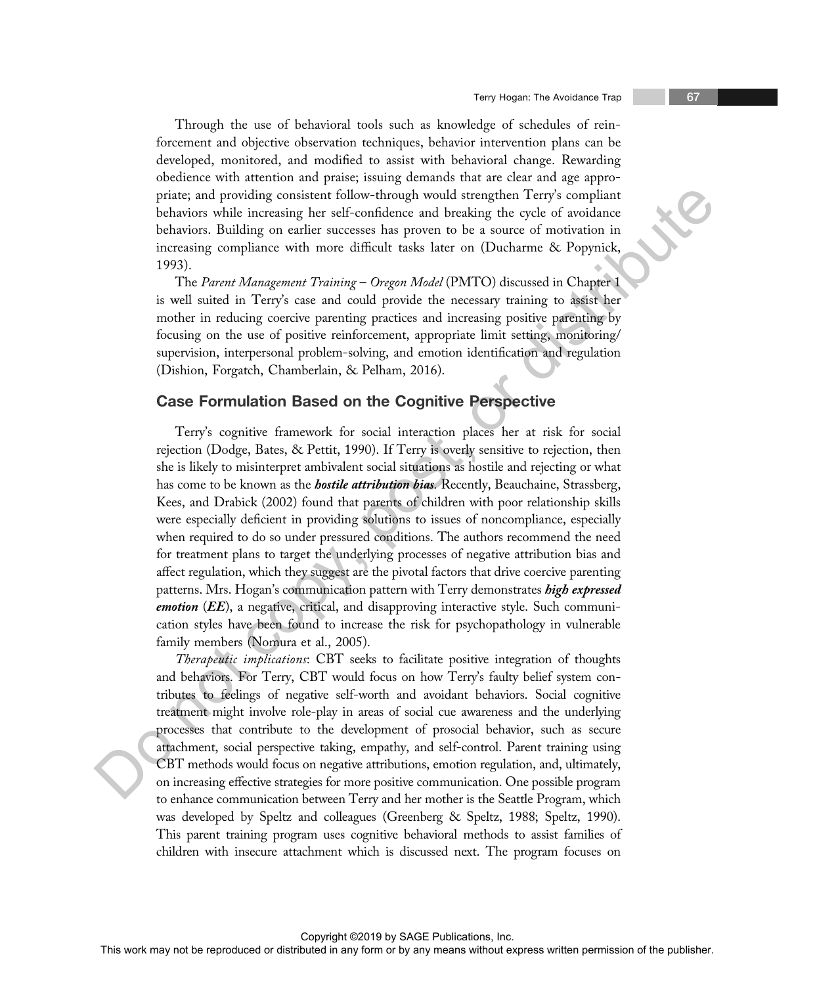Through the use of behavioral tools such as knowledge of schedules of reinforcement and objective observation techniques, behavior intervention plans can be developed, monitored, and modified to assist with behavioral change. Rewarding obedience with attention and praise; issuing demands that are clear and age appropriate; and providing consistent follow-through would strengthen Terry's compliant behaviors while increasing her self-confidence and breaking the cycle of avoidance behaviors. Building on earlier successes has proven to be a source of motivation in increasing compliance with more difficult tasks later on (Ducharme & Popynick, 1993).

The Parent Management Training - Oregon Model (PMTO) discussed in Chapter 1 is well suited in Terry's case and could provide the necessary training to assist her mother in reducing coercive parenting practices and increasing positive parenting by focusing on the use of positive reinforcement, appropriate limit setting, monitoring/ supervision, interpersonal problem-solving, and emotion identification and regulation (Dishion, Forgatch, Chamberlain, & Pelham, 2016).

#### Case Formulation Based on the Cognitive Perspective

Terry's cognitive framework for social interaction places her at risk for social rejection (Dodge, Bates, & Pettit, 1990). If Terry is overly sensitive to rejection, then she is likely to misinterpret ambivalent social situations as hostile and rejecting or what has come to be known as the *hostile attribution bias*. Recently, Beauchaine, Strassberg, Kees, and Drabick (2002) found that parents of children with poor relationship skills were especially deficient in providing solutions to issues of noncompliance, especially when required to do so under pressured conditions. The authors recommend the need for treatment plans to target the underlying processes of negative attribution bias and affect regulation, which they suggest are the pivotal factors that drive coercive parenting patterns. Mrs. Hogan's communication pattern with Terry demonstrates high expressed emotion (EE), a negative, critical, and disapproving interactive style. Such communication styles have been found to increase the risk for psychopathology in vulnerable family members (Nomura et al., 2005). Primary and permission to those changes would struggline that the reproduced or the strict control in any form or between the publisher. But in a strict strict in any form of the strict string in any form of the string in

Therapeutic implications: CBT seeks to facilitate positive integration of thoughts and behaviors. For Terry, CBT would focus on how Terry's faulty belief system contributes to feelings of negative self-worth and avoidant behaviors. Social cognitive treatment might involve role-play in areas of social cue awareness and the underlying processes that contribute to the development of prosocial behavior, such as secure attachment, social perspective taking, empathy, and self-control. Parent training using CBT methods would focus on negative attributions, emotion regulation, and, ultimately, on increasing effective strategies for more positive communication. One possible program to enhance communication between Terry and her mother is the Seattle Program, which was developed by Speltz and colleagues (Greenberg & Speltz, 1988; Speltz, 1990). This parent training program uses cognitive behavioral methods to assist families of children with insecure attachment which is discussed next. The program focuses on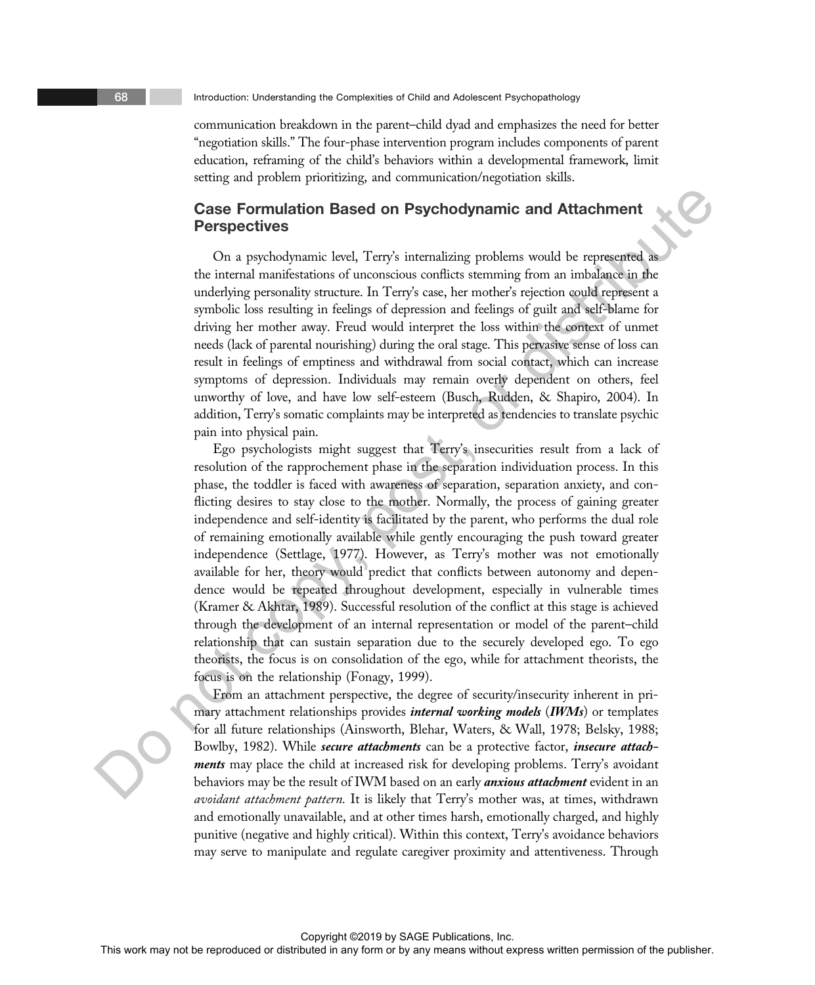Introduction: Understanding the Complexities of Child and Adolescent Psychopathology

communication breakdown in the parent–child dyad and emphasizes the need for better "negotiation skills." The four-phase intervention program includes components of parent education, reframing of the child's behaviors within a developmental framework, limit setting and problem prioritizing, and communication/negotiation skills.

### Case Formulation Based on Psychodynamic and Attachment **Perspectives**

On a psychodynamic level, Terry's internalizing problems would be represented as the internal manifestations of unconscious conflicts stemming from an imbalance in the underlying personality structure. In Terry's case, her mother's rejection could represent a symbolic loss resulting in feelings of depression and feelings of guilt and self-blame for driving her mother away. Freud would interpret the loss within the context of unmet needs (lack of parental nourishing) during the oral stage. This pervasive sense of loss can result in feelings of emptiness and withdrawal from social contact, which can increase symptoms of depression. Individuals may remain overly dependent on others, feel unworthy of love, and have low self-esteem (Busch, Rudden, & Shapiro, 2004). In addition, Terry's somatic complaints may be interpreted as tendencies to translate psychic pain into physical pain.

Ego psychologists might suggest that Terry's insecurities result from a lack of resolution of the rapprochement phase in the separation individuation process. In this phase, the toddler is faced with awareness of separation, separation anxiety, and conflicting desires to stay close to the mother. Normally, the process of gaining greater independence and self-identity is facilitated by the parent, who performs the dual role of remaining emotionally available while gently encouraging the push toward greater independence (Settlage, 1977). However, as Terry's mother was not emotionally available for her, theory would predict that conflicts between autonomy and dependence would be repeated throughout development, especially in vulnerable times (Kramer & Akhtar, 1989). Successful resolution of the conflict at this stage is achieved through the development of an internal representation or model of the parent–child relationship that can sustain separation due to the securely developed ego. To ego theorists, the focus is on consolidation of the ego, while for attachment theorists, the focus is on the relationship (Fonagy, 1999). Case Formulation Based on Psychodynamic and Attachment<br>
Perspectrasse<br>
The raps denotes the reproduced in any form or better any form or better and the representation of the constrained in any form or better and the publi

From an attachment perspective, the degree of security/insecurity inherent in primary attachment relationships provides *internal working models* (*IWMs*) or templates for all future relationships (Ainsworth, Blehar, Waters, & Wall, 1978; Belsky, 1988; Bowlby, 1982). While *secure attachments* can be a protective factor, *insecure attachments* may place the child at increased risk for developing problems. Terry's avoidant behaviors may be the result of IWM based on an early *anxious attachment* evident in an avoidant attachment pattern. It is likely that Terry's mother was, at times, withdrawn and emotionally unavailable, and at other times harsh, emotionally charged, and highly punitive (negative and highly critical). Within this context, Terry's avoidance behaviors may serve to manipulate and regulate caregiver proximity and attentiveness. Through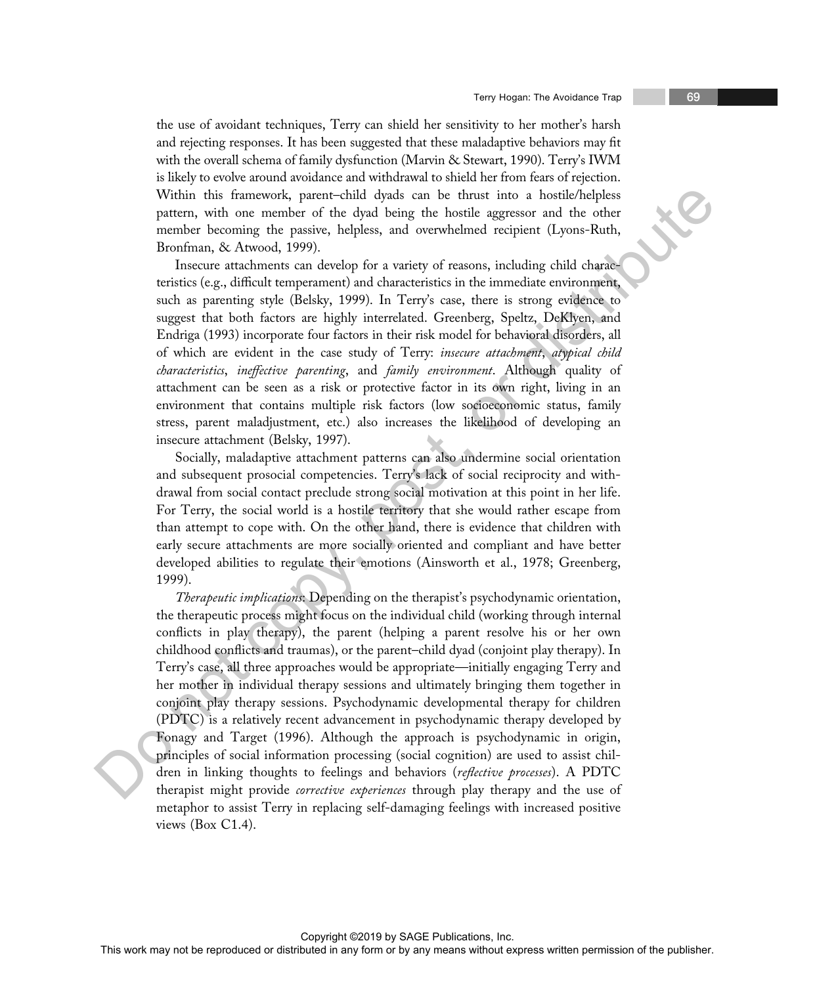the use of avoidant techniques, Terry can shield her sensitivity to her mother's harsh and rejecting responses. It has been suggested that these maladaptive behaviors may fit with the overall schema of family dysfunction (Marvin & Stewart, 1990). Terry's IWM is likely to evolve around avoidance and withdrawal to shield her from fears of rejection. Within this framework, parent–child dyads can be thrust into a hostile/helpless pattern, with one member of the dyad being the hostile aggressor and the other member becoming the passive, helpless, and overwhelmed recipient (Lyons-Ruth, Bronfman, & Atwood, 1999).

Insecure attachments can develop for a variety of reasons, including child characteristics (e.g., difficult temperament) and characteristics in the immediate environment, such as parenting style (Belsky, 1999). In Terry's case, there is strong evidence to suggest that both factors are highly interrelated. Greenberg, Speltz, DeKlyen, and Endriga (1993) incorporate four factors in their risk model for behavioral disorders, all of which are evident in the case study of Terry: insecure attachment, atypical child characteristics, ineffective parenting, and family environment. Although quality of attachment can be seen as a risk or protective factor in its own right, living in an environment that contains multiple risk factors (low socioeconomic status, family stress, parent maladjustment, etc.) also increases the likelihood of developing an insecure attachment (Belsky, 1997).

Socially, maladaptive attachment patterns can also undermine social orientation and subsequent prosocial competencies. Terry's lack of social reciprocity and withdrawal from social contact preclude strong social motivation at this point in her life. For Terry, the social world is a hostile territory that she would rather escape from than attempt to cope with. On the other hand, there is evidence that children with early secure attachments are more socially oriented and compliant and have better developed abilities to regulate their emotions (Ainsworth et al., 1978; Greenberg, 1999).

Therapeutic implications: Depending on the therapist's psychodynamic orientation, the therapeutic process might focus on the individual child (working through internal conflicts in play therapy), the parent (helping a parent resolve his or her own childhood conflicts and traumas), or the parent–child dyad (conjoint play therapy). In Terry's case, all three approaches would be appropriate—initially engaging Terry and her mother in individual therapy sessions and ultimately bringing them together in conjoint play therapy sessions. Psychodynamic developmental therapy for children (PDTC) is a relatively recent advancement in psychodynamic therapy developed by Fonagy and Target (1996). Although the approach is psychodynamic in origin, principles of social information processing (social cognition) are used to assist children in linking thoughts to feelings and behaviors (reflective processes). A PDTC therapist might provide *corrective experiences* through play therapy and the use of metaphor to assist Terry in replacing self-damaging feelings with increased positive views (Box C1.4). White this formoreis, partner-like diskributed in an large the second or distributed in a<br>mather has a more than the any form or distributed in any form or distributed in any form or distributed in any form or distributed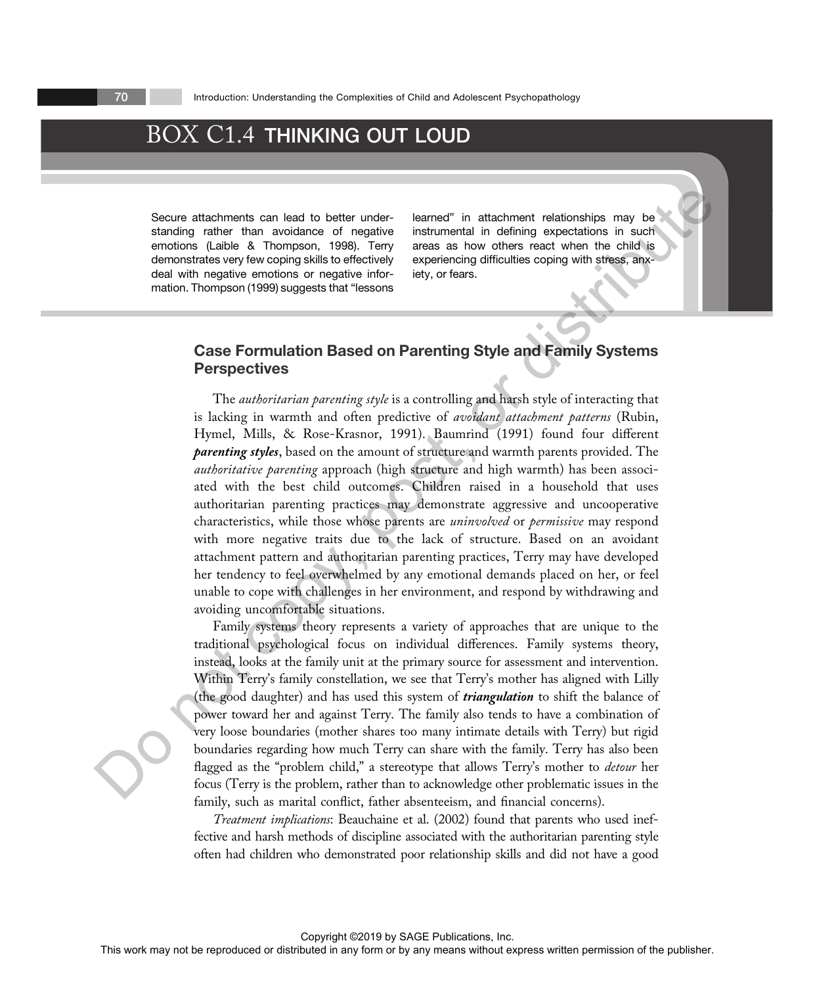## BOX C1.4 THINKING OUT LOUD

Secure attachments can lead to better understanding rather than avoidance of negative emotions (Laible & Thompson, 1998). Terry demonstrates very few coping skills to effectively deal with negative emotions or negative information. Thompson (1999) suggests that "lessons

learned" in attachment relationships may be instrumental in defining expectations in such areas as how others react when the child is experiencing difficulties coping with stress, anxiety, or fears.

#### Case Formulation Based on Parenting Style and Family Systems **Perspectives**

The *authoritarian parenting style* is a controlling and harsh style of interacting that is lacking in warmth and often predictive of *avoidant attachment patterns* (Rubin, Hymel, Mills, & Rose-Krasnor, 1991). Baumrind (1991) found four different parenting styles, based on the amount of structure and warmth parents provided. The authoritative parenting approach (high structure and high warmth) has been associated with the best child outcomes. Children raised in a household that uses authoritarian parenting practices may demonstrate aggressive and uncooperative characteristics, while those whose parents are *uninvolved* or *permissive* may respond with more negative traits due to the lack of structure. Based on an avoidant attachment pattern and authoritarian parenting practices, Terry may have developed her tendency to feel overwhelmed by any emotional demands placed on her, or feel unable to cope with challenges in her environment, and respond by withdrawing and avoiding uncomfortable situations. Secure attactments can issot to bette under-<br>issue or in any form or be represented in a definite distributed or distributed in any form or better any form or better any form or better any form or better any form or bette

Family systems theory represents a variety of approaches that are unique to the traditional psychological focus on individual differences. Family systems theory, instead, looks at the family unit at the primary source for assessment and intervention. Within Terry's family constellation, we see that Terry's mother has aligned with Lilly (the good daughter) and has used this system of *triangulation* to shift the balance of power toward her and against Terry. The family also tends to have a combination of very loose boundaries (mother shares too many intimate details with Terry) but rigid boundaries regarding how much Terry can share with the family. Terry has also been flagged as the "problem child," a stereotype that allows Terry's mother to detour her focus (Terry is the problem, rather than to acknowledge other problematic issues in the family, such as marital conflict, father absenteeism, and financial concerns).

Treatment implications: Beauchaine et al. (2002) found that parents who used ineffective and harsh methods of discipline associated with the authoritarian parenting style often had children who demonstrated poor relationship skills and did not have a good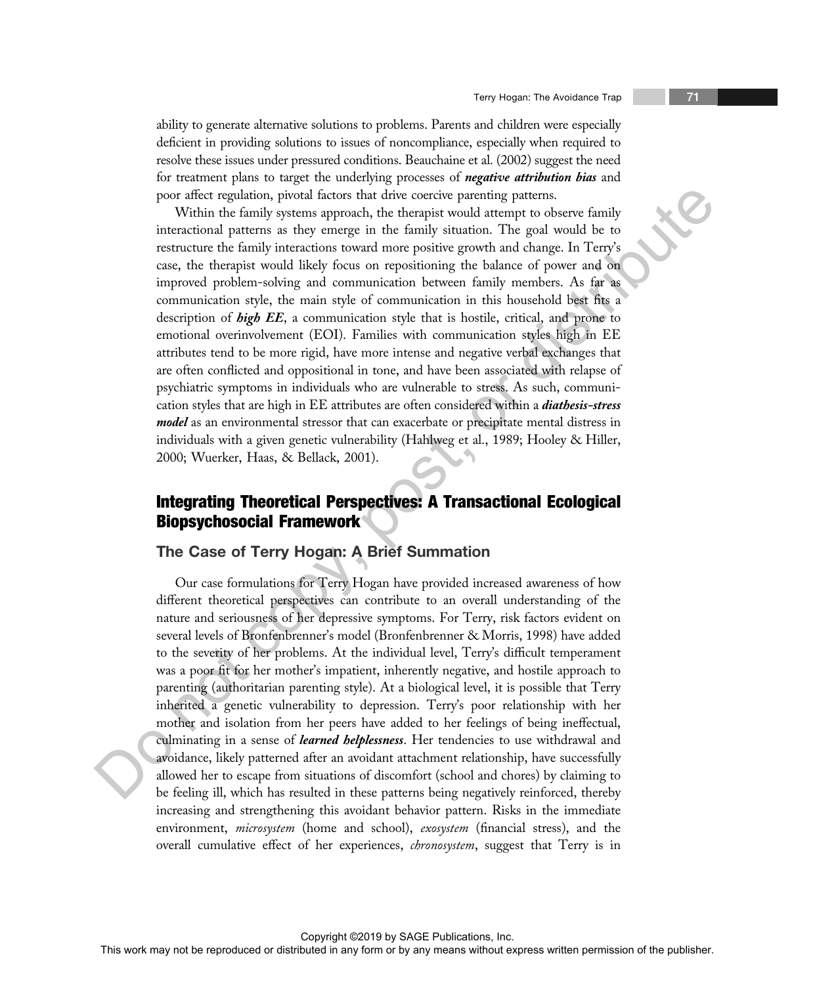ability to generate alternative solutions to problems. Parents and children were especially deficient in providing solutions to issues of noncompliance, especially when required to resolve these issues under pressured conditions. Beauchaine et al. (2002) suggest the need for treatment plans to target the underlying processes of *negative attribution bias* and poor affect regulation, pivotal factors that drive coercive parenting patterns.

Within the family systems approach, the therapist would attempt to observe family interactional patterns as they emerge in the family situation. The goal would be to restructure the family interactions toward more positive growth and change. In Terry's case, the therapist would likely focus on repositioning the balance of power and on improved problem-solving and communication between family members. As far as communication style, the main style of communication in this household best fits a description of **high EE**, a communication style that is hostile, critical, and prone to emotional overinvolvement (EOI). Families with communication styles high in EE attributes tend to be more rigid, have more intense and negative verbal exchanges that are often conflicted and oppositional in tone, and have been associated with relapse of psychiatric symptoms in individuals who are vulnerable to stress. As such, communication styles that are high in EE attributes are often considered within a diathesis-stress *model* as an environmental stressor that can exacerbate or precipitate mental distress in individuals with a given genetic vulnerability (Hahlweg et al., 1989; Hooley & Hiller, 2000; Wuerker, Haas, & Bellack, 2001).

## Integrating Theoretical Perspectives: A Transactional Ecological<br>Biopsychosocial Framework Biopsychosocial Framework

#### The Case of Terry Hogan: A Brief Summation

Our case formulations for Terry Hogan have provided increased awareness of how different theoretical perspectives can contribute to an overall understanding of the nature and seriousness of her depressive symptoms. For Terry, risk factors evident on several levels of Bronfenbrenner's model (Bronfenbrenner & Morris, 1998) have added to the severity of her problems. At the individual level, Terry's difficult temperament was a poor fit for her mother's impatient, inherently negative, and hostile approach to parenting (authoritarian parenting style). At a biological level, it is possible that Terry inherited a genetic vulnerability to depression. Terry's poor relationship with her mother and isolation from her peers have added to her feelings of being ineffectual, culminating in a sense of *learned helplessness*. Her tendencies to use withdrawal and avoidance, likely patterned after an avoidant attachment relationship, have successfully allowed her to escape from situations of discomfort (school and chores) by claiming to be feeling ill, which has resulted in these patterns being negatively reinforced, thereby increasing and strengthening this avoidant behavior pattern. Risks in the immediate environment, *microsystem* (home and school), *exosystem* (financial stress), and the overall cumulative effect of her experiences, *chronosystem*, suggest that Terry is in The results of the reproduced or distributed in any means in any form or by any means with a sample in any means in any form or by any means in a finally simulation. The gal would have to reproduce the reproduced in any m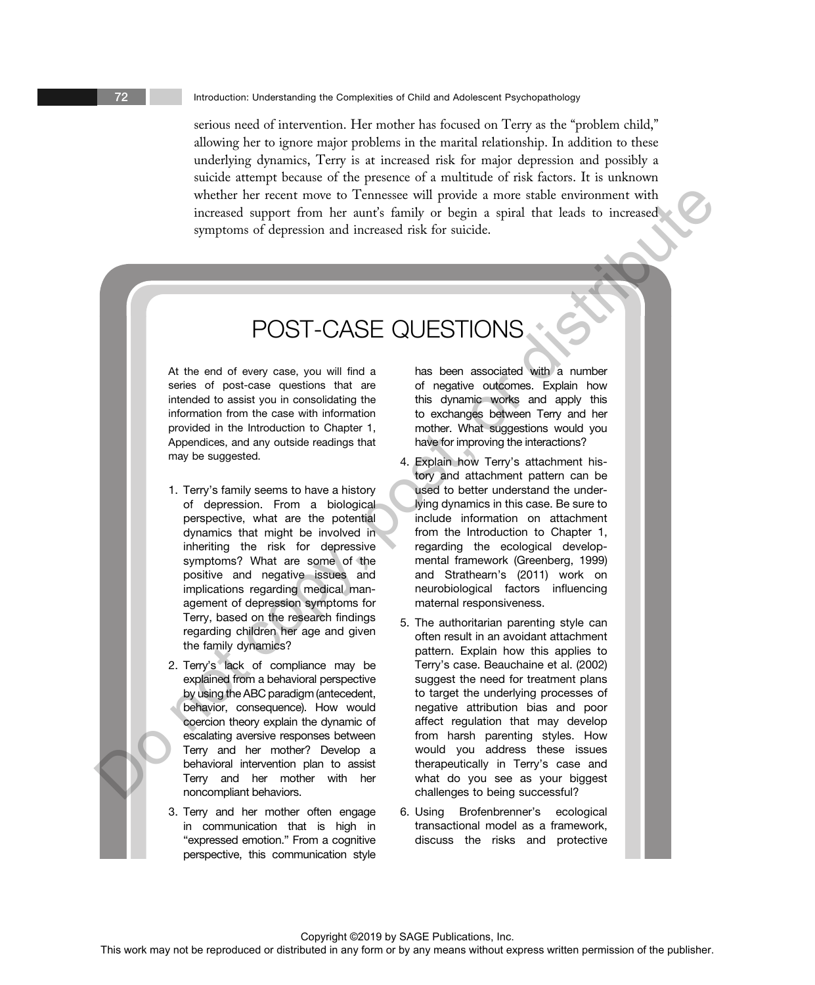serious need of intervention. Her mother has focused on Terry as the "problem child," allowing her to ignore major problems in the marital relationship. In addition to these underlying dynamics, Terry is at increased risk for major depression and possibly a suicide attempt because of the presence of a multitude of risk factors. It is unknown whether her recent move to Tennessee will provide a more stable environment with increased support from her aunt's family or begin a spiral that leads to increased symptoms of depression and increased risk for suicide.

## POST-CASE QUESTIONS

At the end of every case, you will find a series of post-case questions that are intended to assist you in consolidating the information from the case with information provided in the Introduction to Chapter 1, Appendices, and any outside readings that may be suggested.

- 1. Terry's family seems to have a history of depression. From a biological perspective, what are the potential dynamics that might be involved in inheriting the risk for depressive symptoms? What are some of the positive and negative issues and implications regarding medical management of depression symptoms for Terry, based on the research findings regarding children her age and given the family dynamics?
- 2. Terry's lack of compliance may be explained from a behavioral perspective by using the ABC paradigm (antecedent, behavior, consequence). How would coercion theory explain the dynamic of escalating aversive responses between Terry and her mother? Develop a behavioral intervention plan to assist Terry and her mother with her noncompliant behaviors.
- 3. Terry and her mother often engage in communication that is high in "expressed emotion." From a cognitive perspective, this communication style

has been associated with a number of negative outcomes. Explain how this dynamic works and apply this to exchanges between Terry and her mother. What suggestions would you have for improving the interactions?

- 4. Explain how Terry's attachment history and attachment pattern can be used to better understand the underlying dynamics in this case. Be sure to include information on attachment from the Introduction to Chapter 1, regarding the ecological developmental framework (Greenberg, 1999) and Strathearn's (2011) work on neurobiological factors influencing maternal responsiveness.
- 5. The authoritarian parenting style can often result in an avoidant attachment pattern. Explain how this applies to Terry's case. Beauchaine et al. (2002) suggest the need for treatment plans to target the underlying processes of negative attribution bias and poor affect regulation that may develop from harsh parenting styles. How would you address these issues therapeutically in Terry's case and what do you see as your biggest challenges to being successful? where the representation is the representation in the repression of the publisher may not be reproduced to the publisher or by any means with a number of the publisher. The publisher of the publisher or distributed in the
	- 6. Using Brofenbrenner's ecological transactional model as a framework, discuss the risks and protective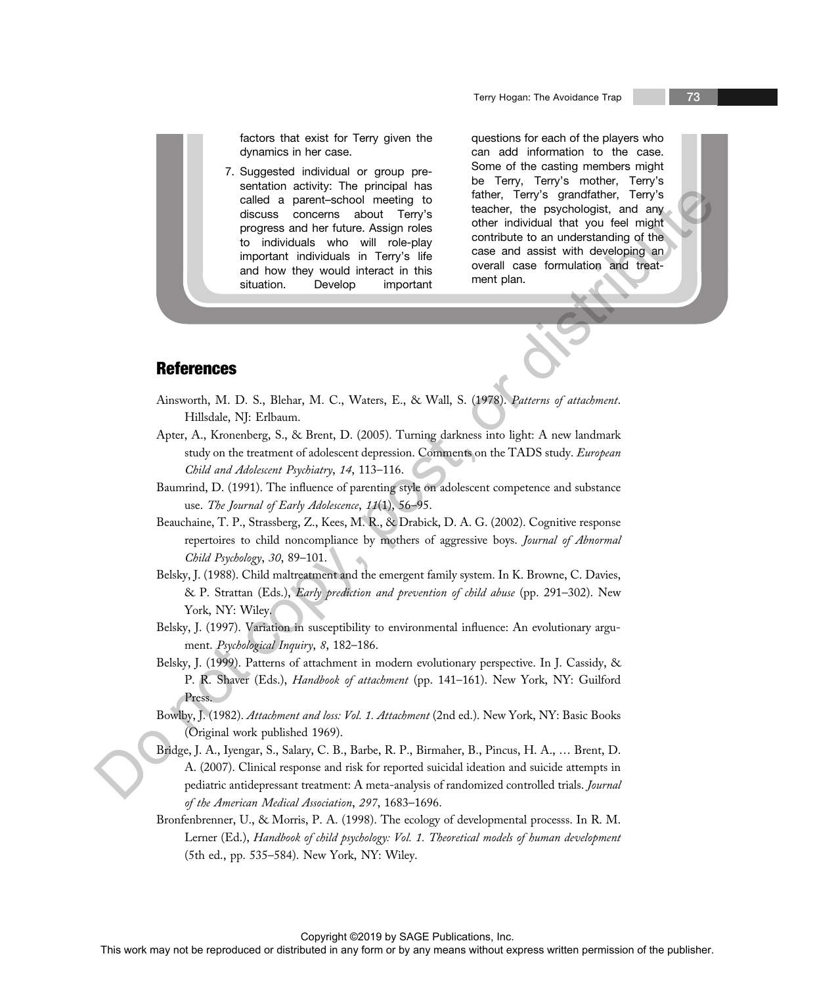factors that exist for Terry given the dynamics in her case.

7. Suggested individual or group presentation activity: The principal has called a parent–school meeting to discuss concerns about Terry's progress and her future. Assign roles to individuals who will role-play important individuals in Terry's life and how they would interact in this situation. Develop important

questions for each of the players who can add information to the case. Some of the casting members might be Terry, Terry's mother, Terry's father, Terry's grandfather, Terry's teacher, the psychologist, and any other individual that you feel might contribute to an understanding of the case and assist with developing an overall case formulation and treatment plan.

## References

- Ainsworth, M. D. S., Blehar, M. C., Waters, E., & Wall, S. (1978). Patterns of attachment. Hillsdale, NJ: Erlbaum.
- Apter, A., Kronenberg, S., & Brent, D. (2005). Turning darkness into light: A new landmark study on the treatment of adolescent depression. Comments on the TADS study. European Child and Adolescent Psychiatry, 14, 113–116.
- Baumrind, D. (1991). The influence of parenting style on adolescent competence and substance use. The Journal of Early Adolescence, 11(1), 56-95.
- Beauchaine, T. P., Strassberg, Z., Kees, M. R., & Drabick, D. A. G. (2002). Cognitive response repertoires to child noncompliance by mothers of aggressive boys. Journal of Abnormal Child Psychology, 30, 89–101.
- Belsky, J. (1988). Child maltreatment and the emergent family system. In K. Browne, C. Davies, & P. Strattan (Eds.), *Early prediction and prevention of child abuse* (pp. 291-302). New York, NY: Wiley.
- Belsky, J. (1997). Variation in susceptibility to environmental influence: An evolutionary argument. Psychological Inquiry, 8, 182–186.
- Belsky, J. (1999). Patterns of attachment in modern evolutionary perspective. In J. Cassidy, & P. R. Shaver (Eds.), Handbook of attachment (pp. 141-161). New York, NY: Guilford Press.
- Bowlby, J. (1982). Attachment and loss: Vol. 1. Attachment (2nd ed.). New York, NY: Basic Books (Original work published 1969).
- Bridge, J. A., Iyengar, S., Salary, C. B., Barbe, R. P., Birmaher, B., Pincus, H. A., … Brent, D. A. (2007). Clinical response and risk for reported suicidal ideation and suicide attempts in pediatric antidepressant treatment: A meta-analysis of randomized controlled trials. Journal of the American Medical Association, 297, 1683–1696. This work may not be reproduced or distributed in any form in the publisher. They<br>is more any form or between the repressions of the representation of the specifical<br>permission of the publisher. This could interest in thi
	- Bronfenbrenner, U., & Morris, P. A. (1998). The ecology of developmental processs. In R. M. Lerner (Ed.), Handbook of child psychology: Vol. 1. Theoretical models of human development (5th ed., pp. 535–584). New York, NY: Wiley.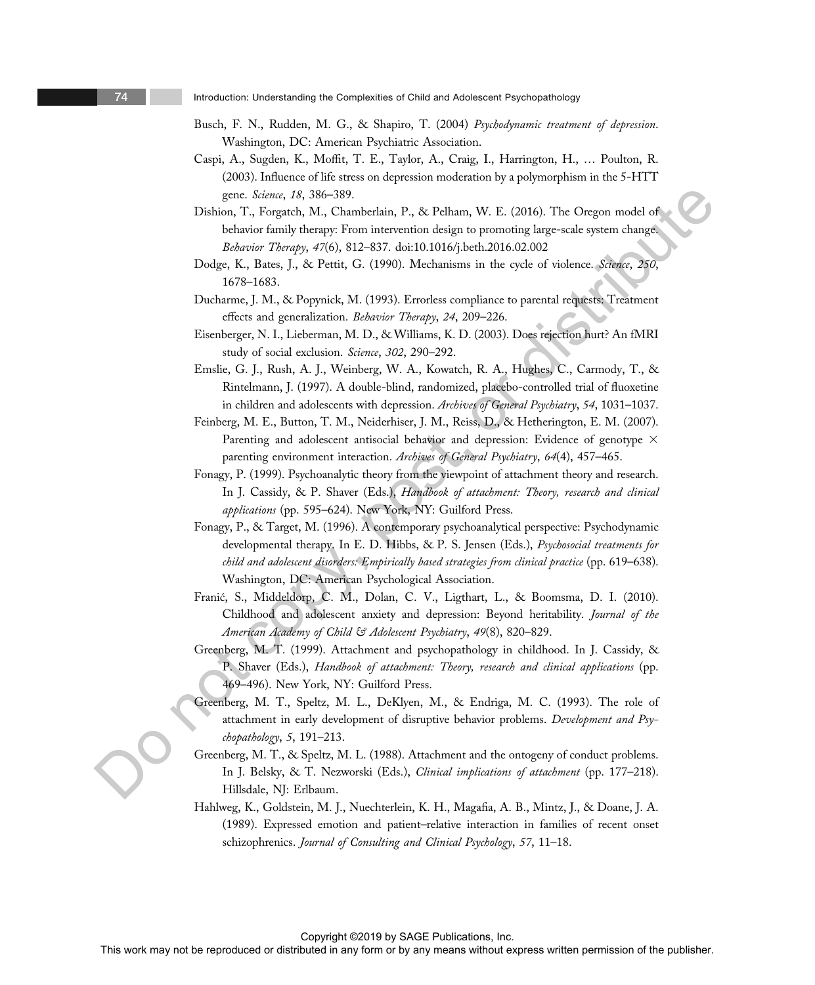- Busch, F. N., Rudden, M. G., & Shapiro, T. (2004) Psychodynamic treatment of depression. Washington, DC: American Psychiatric Association.
- Caspi, A., Sugden, K., Moffit, T. E., Taylor, A., Craig, I., Harrington, H., … Poulton, R. (2003). Influence of life stress on depression moderation by a polymorphism in the 5-HTT gene. Science, 18, 386–389.
- Dishion, T., Forgatch, M., Chamberlain, P., & Pelham, W. E. (2016). The Oregon model of behavior family therapy: From intervention design to promoting large-scale system change. Behavior Therapy, 47(6), 812–837. doi:10.1016/j.beth.2016.02.002
- Dodge, K., Bates, J., & Pettit, G. (1990). Mechanisms in the cycle of violence. Science, 250, 1678–1683.
- Ducharme, J. M., & Popynick, M. (1993). Errorless compliance to parental requests: Treatment effects and generalization. Behavior Therapy, 24, 209–226.
- Eisenberger, N. I., Lieberman, M. D., & Williams, K. D. (2003). Does rejection hurt? An fMRI study of social exclusion. Science, 302, 290-292.
- Emslie, G. J., Rush, A. J., Weinberg, W. A., Kowatch, R. A., Hughes, C., Carmody, T., & Rintelmann, J. (1997). A double-blind, randomized, placebo-controlled trial of fluoxetine in children and adolescents with depression. Archives of General Psychiatry, 54, 1031–1037.
- Feinberg, M. E., Button, T. M., Neiderhiser, J. M., Reiss, D., & Hetherington, E. M. (2007). Parenting and adolescent antisocial behavior and depression: Evidence of genotype  $\times$ parenting environment interaction. Archives of General Psychiatry, 64(4), 457-465.
- Fonagy, P. (1999). Psychoanalytic theory from the viewpoint of attachment theory and research. In J. Cassidy, & P. Shaver (Eds.), Handbook of attachment: Theory, research and clinical applications (pp. 595–624). New York, NY: Guilford Press.
- Fonagy, P., & Target, M. (1996). A contemporary psychoanalytical perspective: Psychodynamic developmental therapy. In E. D. Hibbs, & P. S. Jensen (Eds.), Psychosocial treatments for child and adolescent disorders: Empirically based strategies from clinical practice (pp. 619–638). Washington, DC: American Psychological Association. The repression of the reproduced or distributed in any form or by any means with the reproduced or distributed in any form or by any form or by any form or by any form or by any form or by any form or by any form or by an
	- Franić, S., Middeldorp, C. M., Dolan, C. V., Ligthart, L., & Boomsma, D. I. (2010). Childhood and adolescent anxiety and depression: Beyond heritability. Journal of the American Academy of Child & Adolescent Psychiatry, 49(8), 820-829.
	- Greenberg, M. T. (1999). Attachment and psychopathology in childhood. In J. Cassidy, & P. Shaver (Eds.), Handbook of attachment: Theory, research and clinical applications (pp. 469–496). New York, NY: Guilford Press.
	- Greenberg, M. T., Speltz, M. L., DeKlyen, M., & Endriga, M. C. (1993). The role of attachment in early development of disruptive behavior problems. Development and Psychopathology, 5, 191–213.
	- Greenberg, M. T., & Speltz, M. L. (1988). Attachment and the ontogeny of conduct problems. In J. Belsky, & T. Nezworski (Eds.), Clinical implications of attachment (pp. 177-218). Hillsdale, NJ: Erlbaum.
	- Hahlweg, K., Goldstein, M. J., Nuechterlein, K. H., Magafia, A. B., Mintz, J., & Doane, J. A. (1989). Expressed emotion and patient–relative interaction in families of recent onset schizophrenics. Journal of Consulting and Clinical Psychology, 57, 11–18.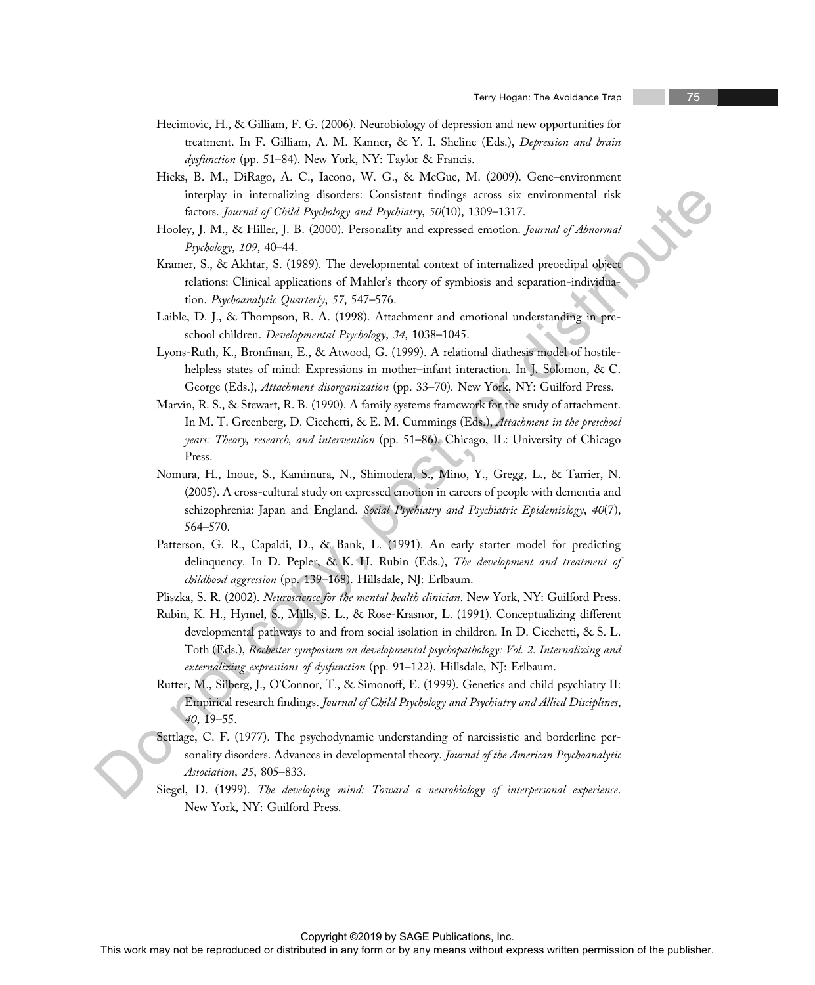- Hecimovic, H., & Gilliam, F. G. (2006). Neurobiology of depression and new opportunities for treatment. In F. Gilliam, A. M. Kanner, & Y. I. Sheline (Eds.), Depression and brain dysfunction (pp. 51–84). New York, NY: Taylor & Francis.
- Hicks, B. M., DiRago, A. C., Iacono, W. G., & McGue, M. (2009). Gene–environment interplay in internalizing disorders: Consistent findings across six environmental risk factors. Journal of Child Psychology and Psychiatry, 50(10), 1309-1317.
- Hooley, J. M., & Hiller, J. B. (2000). Personality and expressed emotion. *Journal of Abnormal* Psychology, 109, 40–44.
- Kramer, S., & Akhtar, S. (1989). The developmental context of internalized preoedipal object relations: Clinical applications of Mahler's theory of symbiosis and separation-individuation. Psychoanalytic Quarterly, 57, 547-576.
- Laible, D. J., & Thompson, R. A. (1998). Attachment and emotional understanding in preschool children. Developmental Psychology, 34, 1038-1045.
- Lyons-Ruth, K., Bronfman, E., & Atwood, G. (1999). A relational diathesis model of hostilehelpless states of mind: Expressions in mother–infant interaction. In J. Solomon, & C. George (Eds.), Attachment disorganization (pp. 33–70). New York, NY: Guilford Press.
- Marvin, R. S., & Stewart, R. B. (1990). A family systems framework for the study of attachment. In M. T. Greenberg, D. Cicchetti, & E. M. Cummings (Eds.), Attachment in the preschool years: Theory, research, and intervention (pp. 51-86). Chicago, IL: University of Chicago Press.
- Nomura, H., Inoue, S., Kamimura, N., Shimodera, S., Mino, Y., Gregg, L., & Tarrier, N. (2005). A cross-cultural study on expressed emotion in careers of people with dementia and schizophrenia: Japan and England. Social Psychiatry and Psychiatric Epidemiology, 40(7), 564–570. This is a may not controlled or distributed or distributed in any active simulation of the reproduced or distributed in any form or better than  $P_1$  Mosky, Filled J. B. China, J. B. China, J. B. China, J. B. China, J. B.
	- Patterson, G. R., Capaldi, D., & Bank, L. (1991). An early starter model for predicting delinquency. In D. Pepler, & K. H. Rubin (Eds.), The development and treatment of childhood aggression (pp. 139–168). Hillsdale, NJ: Erlbaum.
	- Pliszka, S. R. (2002). Neuroscience for the mental health clinician. New York, NY: Guilford Press.
	- Rubin, K. H., Hymel, S., Mills, S. L., & Rose-Krasnor, L. (1991). Conceptualizing different developmental pathways to and from social isolation in children. In D. Cicchetti, & S. L. Toth (Eds.), Rochester symposium on developmental psychopathology: Vol. 2. Internalizing and externalizing expressions of dysfunction (pp. 91-122). Hillsdale, NJ: Erlbaum.
	- Rutter, M., Silberg, J., O'Connor, T., & Simonoff, E. (1999). Genetics and child psychiatry II: Empirical research findings. Journal of Child Psychology and Psychiatry and Allied Disciplines, 40, 19–55.
	- Settlage, C. F. (1977). The psychodynamic understanding of narcissistic and borderline personality disorders. Advances in developmental theory. Journal of the American Psychoanalytic Association, 25, 805–833.
	- Siegel, D. (1999). The developing mind: Toward a neurobiology of interpersonal experience. New York, NY: Guilford Press.